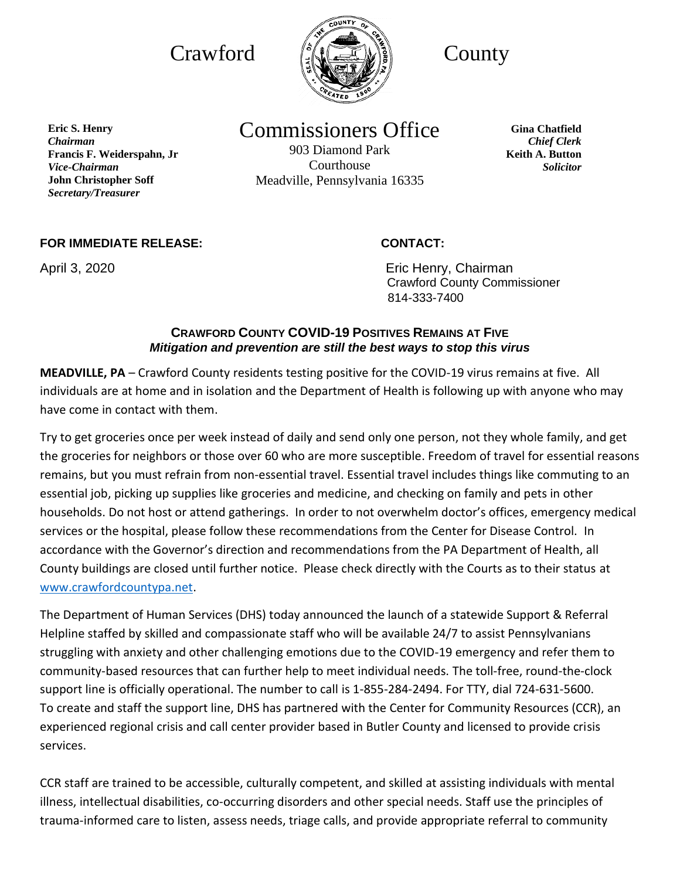

**Eric S. Henry** *Chairman* **Francis F. Weiderspahn, Jr**  *Vice-Chairman* **John Christopher Soff** *Secretary/Treasurer*

# Commissioners Office

903 Diamond Park Courthouse Meadville, Pennsylvania 16335

**Gina Chatfield** *Chief Clerk* **Keith A. Button** *Solicitor*

### **FOR IMMEDIATE RELEASE: CONTACT:**

April 3, 2020 **Example 2018** Eric Henry, Chairman Crawford County Commissioner 814-333-7400

## **CRAWFORD COUNTY COVID-19 POSITIVES REMAINS AT FIVE** *Mitigation and prevention are still the best ways to stop this virus*

**MEADVILLE, PA** – Crawford County residents testing positive for the COVID-19 virus remains at five. All individuals are at home and in isolation and the Department of Health is following up with anyone who may have come in contact with them.

Try to get groceries once per week instead of daily and send only one person, not they whole family, and get the groceries for neighbors or those over 60 who are more susceptible. Freedom of travel for essential reasons remains, but you must refrain from non-essential travel. Essential travel includes things like commuting to an essential job, picking up supplies like groceries and medicine, and checking on family and pets in other households. Do not host or attend gatherings. In order to not overwhelm doctor's offices, emergency medical services or the hospital, please follow these recommendations from the Center for Disease Control. In accordance with the Governor's direction and recommendations from the PA Department of Health, all County buildings are closed until further notice. Please check directly with the Courts as to their status at [www.crawfordcountypa.net.](http://www.crawfordcountypa.net/)

The Department of Human Services (DHS) today announced the launch of a statewide Support & Referral Helpline staffed by skilled and compassionate staff who will be available 24/7 to assist Pennsylvanians struggling with anxiety and other challenging emotions due to the COVID-19 emergency and refer them to community-based resources that can further help to meet individual needs. The toll-free, round-the-clock support line is officially operational. The number to call is 1-855-284-2494. For TTY, dial 724-631-5600. To create and staff the support line, DHS has partnered with the Center for Community Resources (CCR), an experienced regional crisis and call center provider based in Butler County and licensed to provide crisis services.

CCR staff are trained to be accessible, culturally competent, and skilled at assisting individuals with mental illness, intellectual disabilities, co-occurring disorders and other special needs. Staff use the principles of trauma-informed care to listen, assess needs, triage calls, and provide appropriate referral to community